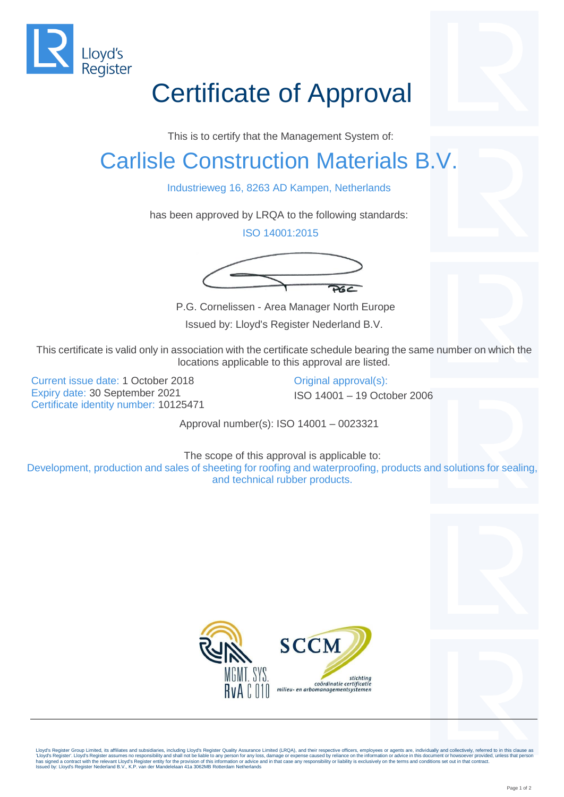

## Certificate of Approval

This is to certify that the Management System of:

## Carlisle Construction Materials B.V.

Industrieweg 16, 8263 AD Kampen, Netherlands

has been approved by LRQA to the following standards:

ISO 14001:2015



P.G. Cornelissen - Area Manager North Europe

Issued by: Lloyd's Register Nederland B.V.

This certificate is valid only in association with the certificate schedule bearing the same number on which the locations applicable to this approval are listed.

Current issue date: 1 October 2018 Original approval(s): Expiry date: 30 September 2021 ISO 14001 – 19 October 2006 Certificate identity number: 10125471

Approval number(s): ISO 14001 – 0023321

The scope of this approval is applicable to: Development, production and sales of sheeting for roofing and waterproofing, products and solutions for sealing, and technical rubber products.



Lloyd's Register Group Limited, its affiliates and subsidiaries, including Lloyd's Register Quality Assurance Limited (LRQA), and their respective officers, employees or agents are, individually and collectively, referred